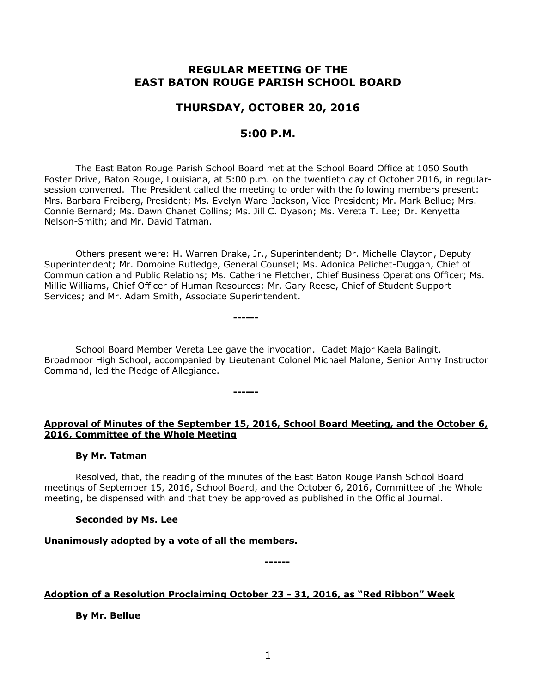## **REGULAR MEETING OF THE EAST BATON ROUGE PARISH SCHOOL BOARD**

## **THURSDAY, OCTOBER 20, 2016**

## **5:00 P.M.**

The East Baton Rouge Parish School Board met at the School Board Office at 1050 South Foster Drive, Baton Rouge, Louisiana, at 5:00 p.m. on the twentieth day of October 2016, in regularsession convened. The President called the meeting to order with the following members present: Mrs. Barbara Freiberg, President; Ms. Evelyn Ware-Jackson, Vice-President; Mr. Mark Bellue; Mrs. Connie Bernard; Ms. Dawn Chanet Collins; Ms. Jill C. Dyason; Ms. Vereta T. Lee; Dr. Kenyetta Nelson-Smith; and Mr. David Tatman.

Others present were: H. Warren Drake, Jr., Superintendent; Dr. Michelle Clayton, Deputy Superintendent; Mr. Domoine Rutledge, General Counsel; Ms. Adonica Pelichet-Duggan, Chief of Communication and Public Relations; Ms. Catherine Fletcher, Chief Business Operations Officer; Ms. Millie Williams, Chief Officer of Human Resources; Mr. Gary Reese, Chief of Student Support Services; and Mr. Adam Smith, Associate Superintendent.

School Board Member Vereta Lee gave the invocation. Cadet Major Kaela Balingit, Broadmoor High School, accompanied by Lieutenant Colonel Michael Malone, Senior Army Instructor Command, led the Pledge of Allegiance.

#### **------**

**------**

## **Approval of Minutes of the September 15, 2016, School Board Meeting, and the October 6, 2016, Committee of the Whole Meeting**

## **By Mr. Tatman**

Resolved, that, the reading of the minutes of the East Baton Rouge Parish School Board meetings of September 15, 2016, School Board, and the October 6, 2016, Committee of the Whole meeting, be dispensed with and that they be approved as published in the Official Journal.

## **Seconded by Ms. Lee**

# **Unanimously adopted by a vote of all the members.**

**------**

### **Adoption of a Resolution Proclaiming October 23 - 31, 2016, as "Red Ribbon" Week**

**By Mr. Bellue**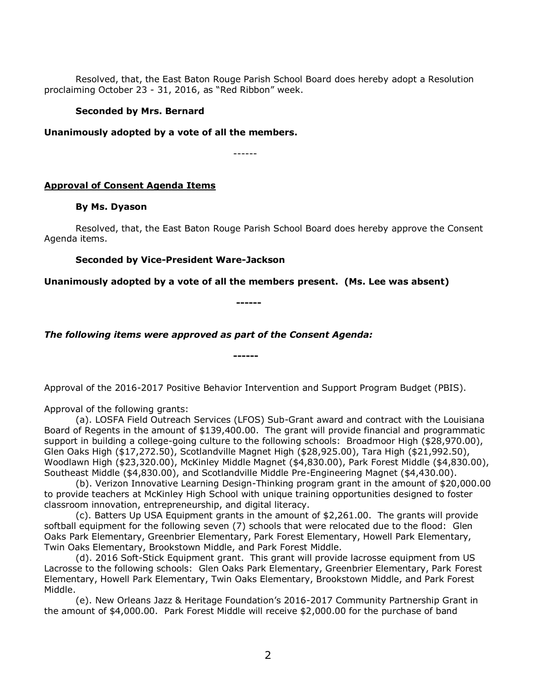Resolved, that, the East Baton Rouge Parish School Board does hereby adopt a Resolution proclaiming October 23 - 31, 2016, as "Red Ribbon" week.

#### **Seconded by Mrs. Bernard**

**Unanimously adopted by a vote of all the members.**

------

#### **Approval of Consent Agenda Items**

#### **By Ms. Dyason**

Resolved, that, the East Baton Rouge Parish School Board does hereby approve the Consent Agenda items.

#### **Seconded by Vice-President Ware-Jackson**

**Unanimously adopted by a vote of all the members present. (Ms. Lee was absent)**

**------**

**------**

*The following items were approved as part of the Consent Agenda:*

Approval of the 2016-2017 Positive Behavior Intervention and Support Program Budget (PBIS).

Approval of the following grants:

(a). LOSFA Field Outreach Services (LFOS) Sub-Grant award and contract with the Louisiana Board of Regents in the amount of \$139,400.00. The grant will provide financial and programmatic support in building a college-going culture to the following schools: Broadmoor High (\$28,970.00), Glen Oaks High (\$17,272.50), Scotlandville Magnet High (\$28,925.00), Tara High (\$21,992.50), Woodlawn High (\$23,320.00), McKinley Middle Magnet (\$4,830.00), Park Forest Middle (\$4,830.00), Southeast Middle (\$4,830.00), and Scotlandville Middle Pre-Engineering Magnet (\$4,430.00).

(b). Verizon Innovative Learning Design-Thinking program grant in the amount of \$20,000.00 to provide teachers at McKinley High School with unique training opportunities designed to foster classroom innovation, entrepreneurship, and digital literacy.

(c). Batters Up USA Equipment grants in the amount of \$2,261.00. The grants will provide softball equipment for the following seven (7) schools that were relocated due to the flood: Glen Oaks Park Elementary, Greenbrier Elementary, Park Forest Elementary, Howell Park Elementary, Twin Oaks Elementary, Brookstown Middle, and Park Forest Middle.

(d). 2016 Soft-Stick Equipment grant. This grant will provide lacrosse equipment from US Lacrosse to the following schools: Glen Oaks Park Elementary, Greenbrier Elementary, Park Forest Elementary, Howell Park Elementary, Twin Oaks Elementary, Brookstown Middle, and Park Forest Middle.

(e). New Orleans Jazz & Heritage Foundation's 2016-2017 Community Partnership Grant in the amount of \$4,000.00. Park Forest Middle will receive \$2,000.00 for the purchase of band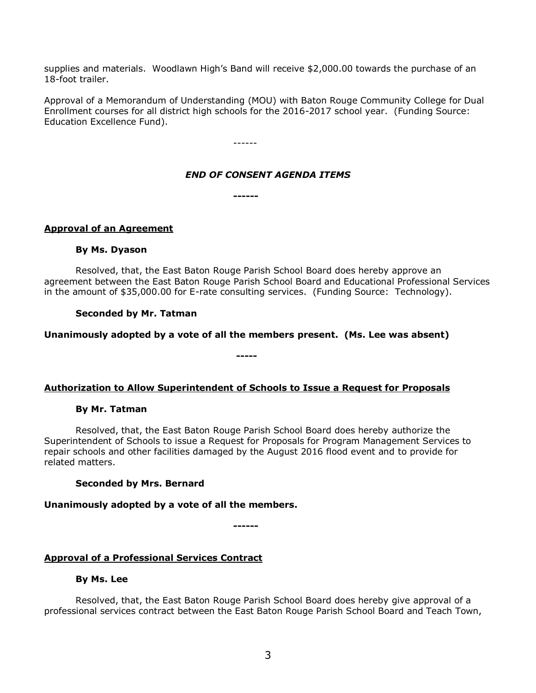supplies and materials. Woodlawn High's Band will receive \$2,000.00 towards the purchase of an 18-foot trailer.

Approval of a Memorandum of Understanding (MOU) with Baton Rouge Community College for Dual Enrollment courses for all district high schools for the 2016-2017 school year. (Funding Source: Education Excellence Fund).

------

### *END OF CONSENT AGENDA ITEMS*

**------**

### **Approval of an Agreement**

#### **By Ms. Dyason**

Resolved, that, the East Baton Rouge Parish School Board does hereby approve an agreement between the East Baton Rouge Parish School Board and Educational Professional Services in the amount of \$35,000.00 for E-rate consulting services. (Funding Source: Technology).

### **Seconded by Mr. Tatman**

### **Unanimously adopted by a vote of all the members present. (Ms. Lee was absent)**

**-----**

### **Authorization to Allow Superintendent of Schools to Issue a Request for Proposals**

### **By Mr. Tatman**

Resolved, that, the East Baton Rouge Parish School Board does hereby authorize the Superintendent of Schools to issue a Request for Proposals for Program Management Services to repair schools and other facilities damaged by the August 2016 flood event and to provide for related matters.

### **Seconded by Mrs. Bernard**

### **Unanimously adopted by a vote of all the members.**

**------**

### **Approval of a Professional Services Contract**

### **By Ms. Lee**

Resolved, that, the East Baton Rouge Parish School Board does hereby give approval of a professional services contract between the East Baton Rouge Parish School Board and Teach Town,